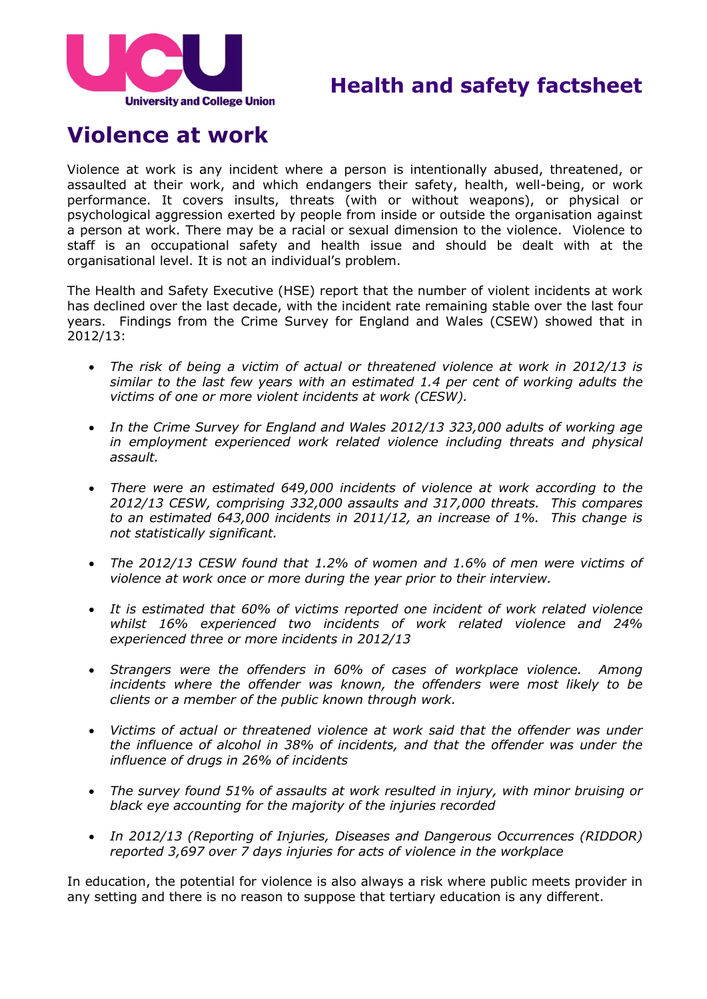

## **Health and safety factsheet**

# **Violence at work**

Violence at work is any incident where a person is intentionally abused, threatened, or assaulted at their work, and which endangers their safety, health, well-being, or work performance. It covers insults, threats (with or without weapons), or physical or psychological aggression exerted by people from inside or outside the organisation against a person at work. There may be a racial or sexual dimension to the violence. Violence to staff is an occupational safety and health issue and should be dealt with at the organisational level. It is not an individual's problem.

The Health and Safety Executive (HSE) report that the number of violent incidents at work has declined over the last decade, with the incident rate remaining stable over the last four years. Findings from the Crime Survey for England and Wales (CSEW) showed that in 2012/13:

- *The risk of being a victim of actual or threatened violence at work in 2012/13 is similar to the last few years with an estimated 1.4 per cent of working adults the victims of one or more violent incidents at work (CESW).*
- *In the Crime Survey for England and Wales 2012/13 323,000 adults of working age in employment experienced work related violence including threats and physical assault.*
- *There were an estimated 649,000 incidents of violence at work according to the 2012/13 CESW, comprising 332,000 assaults and 317,000 threats. This compares to an estimated 643,000 incidents in 2011/12, an increase of 1%. This change is not statistically significant.*
- *The 2012/13 CESW found that 1.2% of women and 1.6% of men were victims of violence at work once or more during the year prior to their interview.*
- *It is estimated that 60% of victims reported one incident of work related violence whilst 16% experienced two incidents of work related violence and 24% experienced three or more incidents in 2012/13*
- *Strangers were the offenders in 60% of cases of workplace violence. Among*  incidents where the offender was known, the offenders were most likely to be *clients or a member of the public known through work.*
- *Victims of actual or threatened violence at work said that the offender was under the influence of alcohol in 38% of incidents, and that the offender was under the influence of drugs in 26% of incidents*
- *The survey found 51% of assaults at work resulted in injury, with minor bruising or black eye accounting for the majority of the injuries recorded*
- *In 2012/13 (Reporting of Injuries, Diseases and Dangerous Occurrences (RIDDOR) reported 3,697 over 7 days injuries for acts of violence in the workplace*

In education, the potential for violence is also always a risk where public meets provider in any setting and there is no reason to suppose that tertiary education is any different.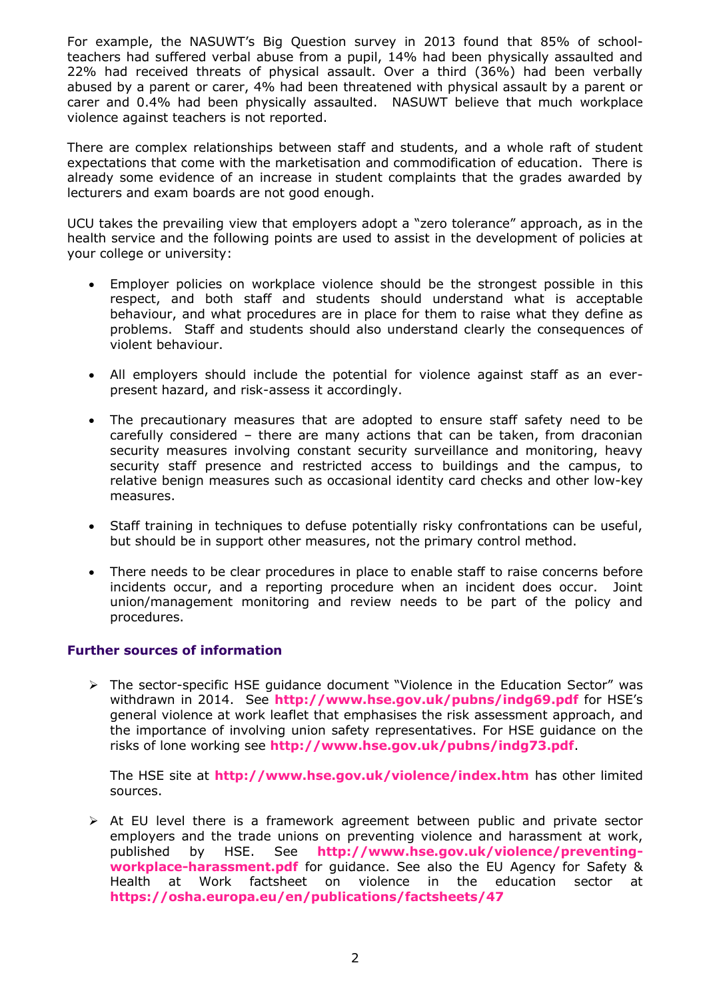For example, the NASUWT's Big Question survey in 2013 found that 85% of schoolteachers had suffered verbal abuse from a pupil, 14% had been physically assaulted and 22% had received threats of physical assault. Over a third (36%) had been verbally abused by a parent or carer, 4% had been threatened with physical assault by a parent or carer and 0.4% had been physically assaulted. NASUWT believe that much workplace violence against teachers is not reported.

There are complex relationships between staff and students, and a whole raft of student expectations that come with the marketisation and commodification of education. There is already some evidence of an increase in student complaints that the grades awarded by lecturers and exam boards are not good enough.

UCU takes the prevailing view that employers adopt a "zero tolerance" approach, as in the health service and the following points are used to assist in the development of policies at your college or university:

- Employer policies on workplace violence should be the strongest possible in this respect, and both staff and students should understand what is acceptable behaviour, and what procedures are in place for them to raise what they define as problems. Staff and students should also understand clearly the consequences of violent behaviour.
- All employers should include the potential for violence against staff as an everpresent hazard, and risk-assess it accordingly.
- The precautionary measures that are adopted to ensure staff safety need to be carefully considered – there are many actions that can be taken, from draconian security measures involving constant security surveillance and monitoring, heavy security staff presence and restricted access to buildings and the campus, to relative benign measures such as occasional identity card checks and other low-key measures.
- Staff training in techniques to defuse potentially risky confrontations can be useful, but should be in support other measures, not the primary control method.
- There needs to be clear procedures in place to enable staff to raise concerns before incidents occur, and a reporting procedure when an incident does occur. Joint union/management monitoring and review needs to be part of the policy and procedures.

#### **Further sources of information**

 The sector-specific HSE guidance document "Violence in the Education Sector" was withdrawn in 2014. See **<http://www.hse.gov.uk/pubns/indg69.pdf>** for HSE's general violence at work leaflet that emphasises the risk assessment approach, and the importance of involving union safety representatives. For HSE guidance on the risks of lone working see **<http://www.hse.gov.uk/pubns/indg73.pdf>**.

The HSE site at **<http://www.hse.gov.uk/violence/index.htm>** has other limited sources.

 $\triangleright$  At EU level there is a framework agreement between public and private sector employers and the trade unions on preventing violence and harassment at work, published by HSE. See **[http://www.hse.gov.uk/violence/preventing](http://www.hse.gov.uk/violence/preventing-workplace-harassment.pdf)[workplace-harassment.pdf](http://www.hse.gov.uk/violence/preventing-workplace-harassment.pdf)** for guidance. See also the EU Agency for Safety & Health at Work factsheet on violence in the education sector at **<https://osha.europa.eu/en/publications/factsheets/47>**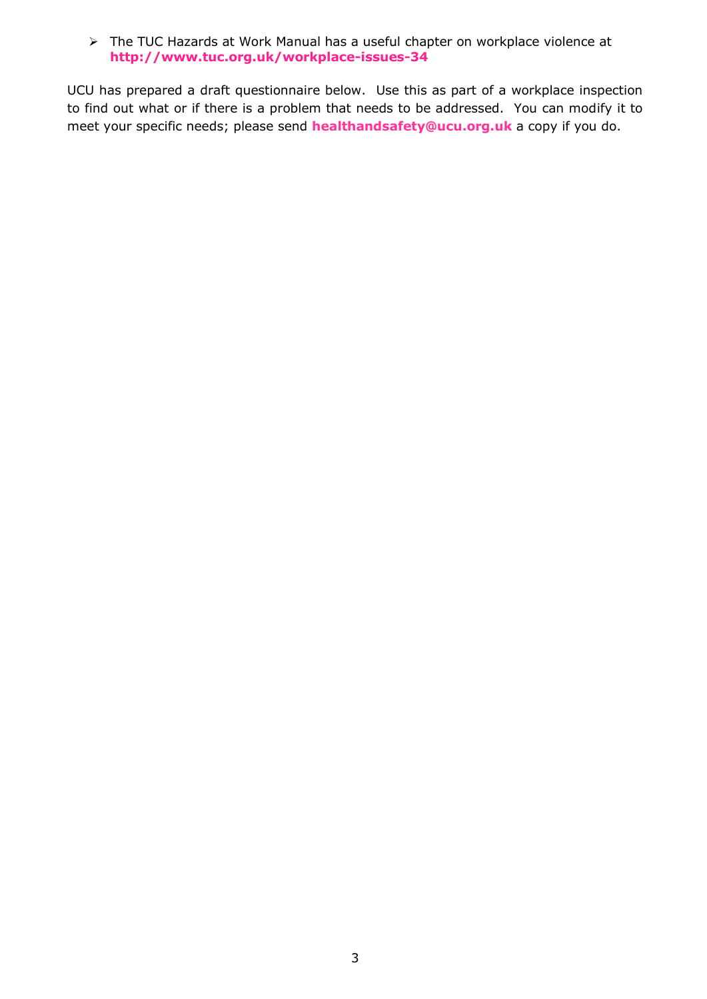The TUC Hazards at Work Manual has a useful chapter on workplace violence at **<http://www.tuc.org.uk/workplace-issues-34>**

UCU has prepared a draft questionnaire below. Use this as part of a workplace inspection to find out what or if there is a problem that needs to be addressed. You can modify it to meet your specific needs; please send **[healthandsafety@ucu.org.uk](mailto:healthandsafety@ucu.org.uk)** a copy if you do.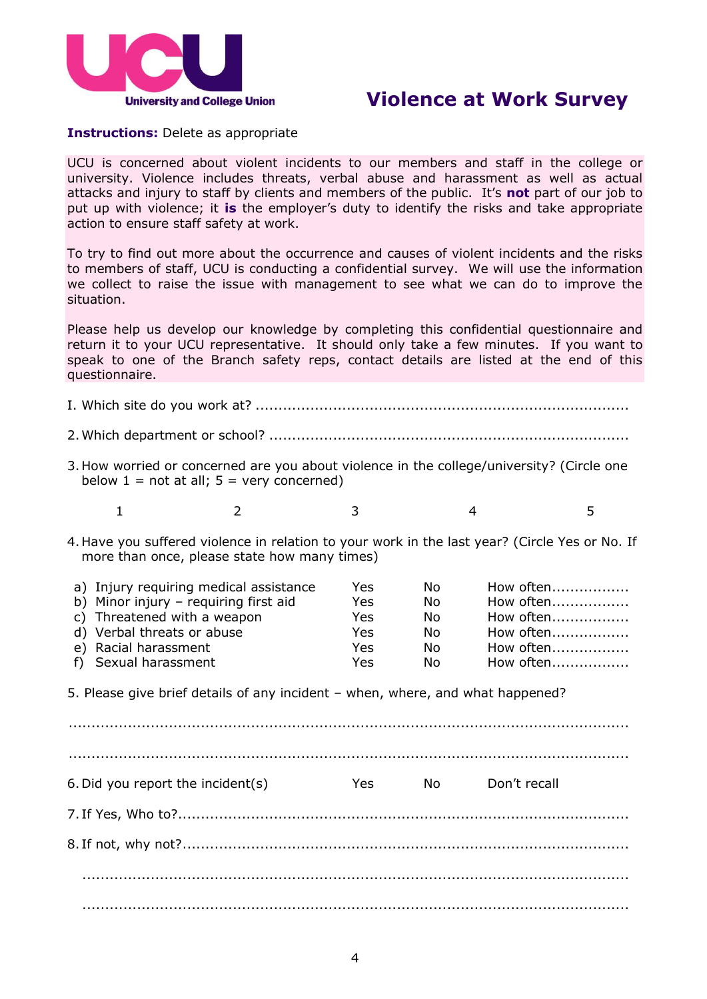

### **Violence at Work Survey**

### **Instructions:** Delete as appropriate

UCU is concerned about violent incidents to our members and staff in the college or university. Violence includes threats, verbal abuse and harassment as well as actual attacks and injury to staff by clients and members of the public. It's **not** part of our job to put up with violence; it **is** the employer's duty to identify the risks and take appropriate action to ensure staff safety at work.

To try to find out more about the occurrence and causes of violent incidents and the risks to members of staff, UCU is conducting a confidential survey. We will use the information we collect to raise the issue with management to see what we can do to improve the situation.

Please help us develop our knowledge by completing this confidential questionnaire and return it to your UCU representative. It should only take a few minutes. If you want to speak to one of the Branch safety reps, contact details are listed at the end of this questionnaire.

# I. Which site do you work at? .................................................................................. 2.Which department or school? ............................................................................... 3.How worried or concerned are you about violence in the college/university? (Circle one below  $1 = \text{not at all}$ ;  $5 = \text{very concerned}$ ) 1 2 3 4 5 4.Have you suffered violence in relation to your work in the last year? (Circle Yes or No. If more than once, please state how many times) a) Injury requiring medical assistance Yes No How often......................... b) Minor injury – requiring first aid Yes No How often.......................... c) Threatened with a weapon Yes No How often................. d) Verbal threats or abuse Yes No How often................. e) Racial harassment Yes No How often................. f) Sexual harassment Yes No How often................. 5. Please give brief details of any incident – when, where, and what happened? ........................................................................................................................... 6.Did you report the incident(s) Yes No Don't recall 7. If Yes, Who to?................................................................................................... 8. If not, why not?.................................................................................................. ........................................................................................................................

........................................................................................................................